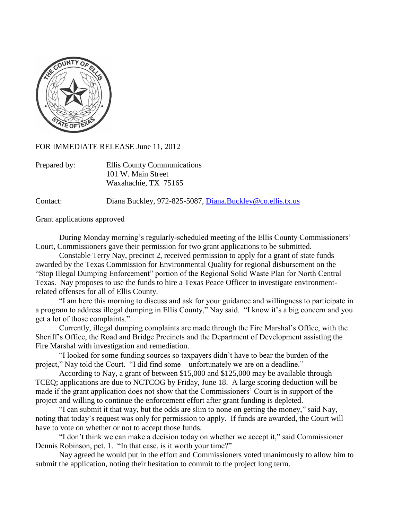

FOR IMMEDIATE RELEASE June 11, 2012

| Prepared by: | Ellis County Communications |
|--------------|-----------------------------|
|              | 101 W. Main Street          |
|              | Waxahachie, TX 75165        |

Contact: Diana Buckley, 972-825-5087, [Diana.Buckley@co.ellis.tx.us](mailto:Diana.Buckley@co.ellis.tx.us)

Grant applications approved

During Monday morning's regularly-scheduled meeting of the Ellis County Commissioners' Court, Commissioners gave their permission for two grant applications to be submitted.

Constable Terry Nay, precinct 2, received permission to apply for a grant of state funds awarded by the Texas Commission for Environmental Quality for regional disbursement on the "Stop Illegal Dumping Enforcement" portion of the Regional Solid Waste Plan for North Central Texas. Nay proposes to use the funds to hire a Texas Peace Officer to investigate environmentrelated offenses for all of Ellis County.

"I am here this morning to discuss and ask for your guidance and willingness to participate in a program to address illegal dumping in Ellis County," Nay said. "I know it's a big concern and you get a lot of those complaints."

Currently, illegal dumping complaints are made through the Fire Marshal's Office, with the Sheriff's Office, the Road and Bridge Precincts and the Department of Development assisting the Fire Marshal with investigation and remediation.

"I looked for some funding sources so taxpayers didn't have to bear the burden of the project," Nay told the Court. "I did find some – unfortunately we are on a deadline."

According to Nay, a grant of between \$15,000 and \$125,000 may be available through TCEQ; applications are due to NCTCOG by Friday, June 18. A large scoring deduction will be made if the grant application does not show that the Commissioners' Court is in support of the project and willing to continue the enforcement effort after grant funding is depleted.

"I can submit it that way, but the odds are slim to none on getting the money," said Nay, noting that today's request was only for permission to apply. If funds are awarded, the Court will have to vote on whether or not to accept those funds.

"I don't think we can make a decision today on whether we accept it," said Commissioner Dennis Robinson, pct. 1. "In that case, is it worth your time?"

Nay agreed he would put in the effort and Commissioners voted unanimously to allow him to submit the application, noting their hesitation to commit to the project long term.